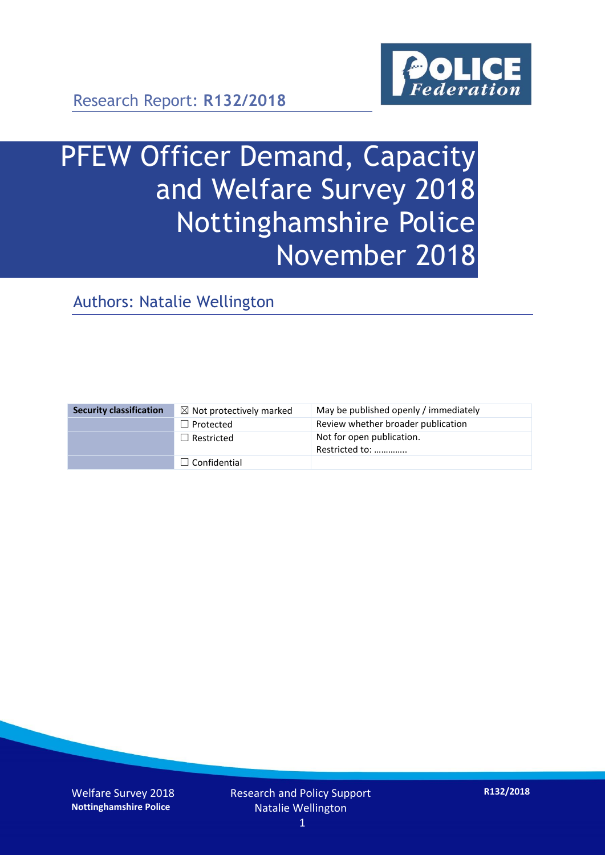

Research Report: **R132/2018**

# PFEW Officer Demand, Capacity and Welfare Survey 2018 Nottinghamshire Police November 2018

Authors: Natalie Wellington

| <b>Security classification</b> | $\boxtimes$ Not protectively marked | May be published openly / immediately       |
|--------------------------------|-------------------------------------|---------------------------------------------|
|                                | $\Box$ Protected                    | Review whether broader publication          |
|                                | $\Box$ Restricted                   | Not for open publication.<br>Restricted to: |
|                                | $\Box$ Confidential                 |                                             |

Welfare Survey 2018 **Nottinghamshire Police**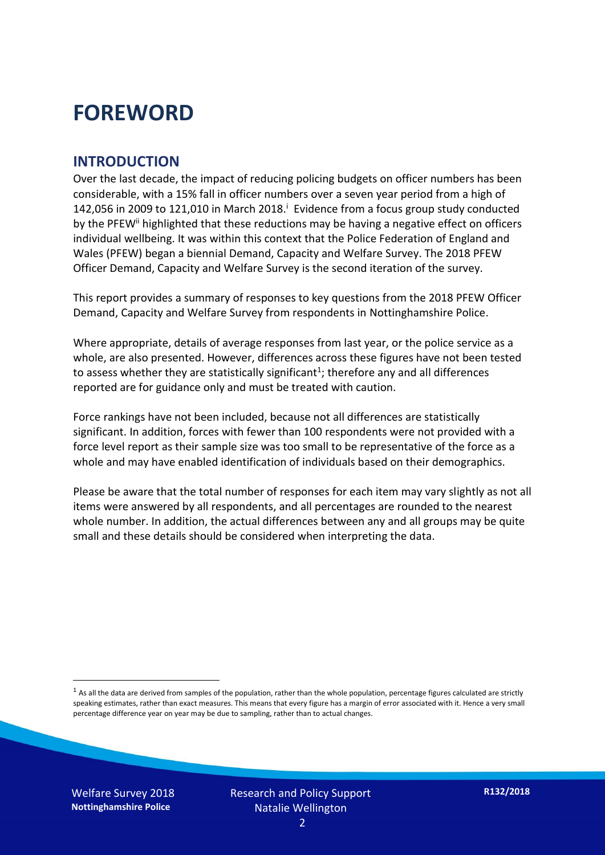### **FOREWORD**

#### **INTRODUCTION**

Over the last decade, the impact of reducing policing budgets on officer numbers has been considerable, with a 15% fall in officer numbers over a seven year period from a high of 142,056 in 2009 to 121,010 in March 2018. $^{\mathrm{i}}$  Evidence from a focus group study conducted by the PFEW<sup>ii</sup> highlighted that these reductions may be having a negative effect on officers individual wellbeing. It was within this context that the Police Federation of England and Wales (PFEW) began a biennial Demand, Capacity and Welfare Survey. The 2018 PFEW Officer Demand, Capacity and Welfare Survey is the second iteration of the survey.

This report provides a summary of responses to key questions from the 2018 PFEW Officer Demand, Capacity and Welfare Survey from respondents in Nottinghamshire Police.

Where appropriate, details of average responses from last year, or the police service as a whole, are also presented. However, differences across these figures have not been tested to assess whether they are statistically significant<sup>1</sup>; therefore any and all differences reported are for guidance only and must be treated with caution.

Force rankings have not been included, because not all differences are statistically significant. In addition, forces with fewer than 100 respondents were not provided with a force level report as their sample size was too small to be representative of the force as a whole and may have enabled identification of individuals based on their demographics.

Please be aware that the total number of responses for each item may vary slightly as not all items were answered by all respondents, and all percentages are rounded to the nearest whole number. In addition, the actual differences between any and all groups may be quite small and these details should be considered when interpreting the data.

 $<sup>1</sup>$  As all the data are derived from samples of the population, rather than the whole population, percentage figures calculated are strictly</sup> speaking estimates, rather than exact measures. This means that every figure has a margin of error associated with it. Hence a very small percentage difference year on year may be due to sampling, rather than to actual changes.

Welfare Survey 2018 **Nottinghamshire Police**

-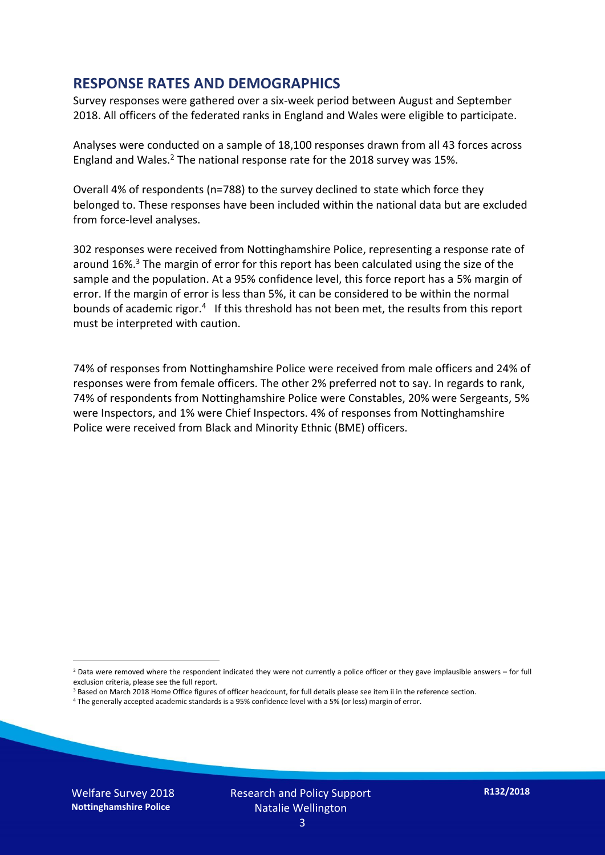#### **RESPONSE RATES AND DEMOGRAPHICS**

Survey responses were gathered over a six-week period between August and September 2018. All officers of the federated ranks in England and Wales were eligible to participate.

Analyses were conducted on a sample of 18,100 responses drawn from all 43 forces across England and Wales.<sup>2</sup> The national response rate for the 2018 survey was 15%.

Overall 4% of respondents (n=788) to the survey declined to state which force they belonged to. These responses have been included within the national data but are excluded from force-level analyses.

302 responses were received from Nottinghamshire Police, representing a response rate of around 16%. <sup>3</sup> The margin of error for this report has been calculated using the size of the sample and the population. At a 95% confidence level, this force report has a 5% margin of error. If the margin of error is less than 5%, it can be considered to be within the normal bounds of academic rigor.<sup>4</sup> If this threshold has not been met, the results from this report must be interpreted with caution.

74% of responses from Nottinghamshire Police were received from male officers and 24% of responses were from female officers. The other 2% preferred not to say. In regards to rank, 74% of respondents from Nottinghamshire Police were Constables, 20% were Sergeants, 5% were Inspectors, and 1% were Chief Inspectors. 4% of responses from Nottinghamshire Police were received from Black and Minority Ethnic (BME) officers.

- <sup>3</sup> Based on March 2018 Home Office figures of officer headcount, for full details please see item ii in the reference section.
- <sup>4</sup> The generally accepted academic standards is a 95% confidence level with a 5% (or less) margin of error.

Welfare Survey 2018 **Nottinghamshire Police**

-

 $2$  Data were removed where the respondent indicated they were not currently a police officer or they gave implausible answers – for full exclusion criteria, please see the full report.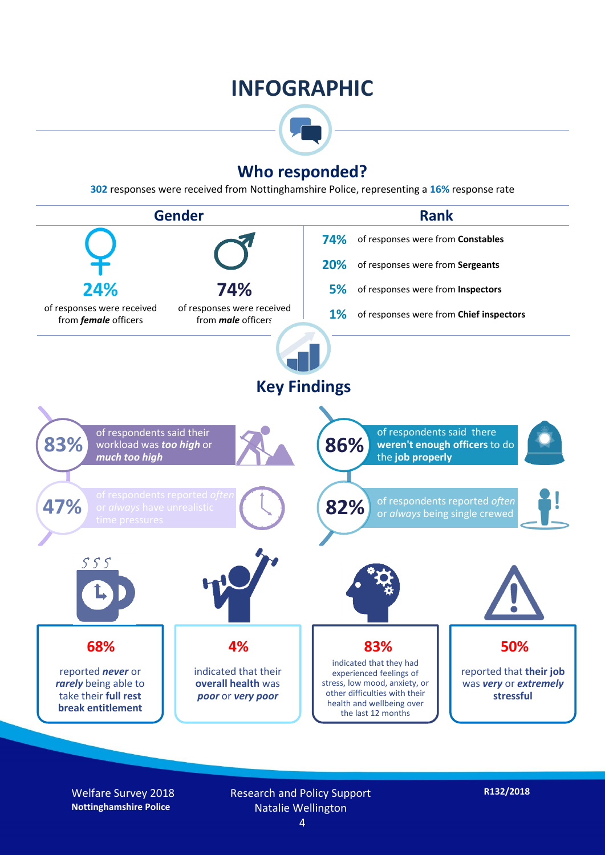### **INFOGRAPHIC**



#### **Who responded?**

**302** responses were received from Nottinghamshire Police, representing a **16%** response rate



Welfare Survey 2018 **Nottinghamshire Police**

Research and Policy Support Natalie Wellington

4

**R132/2018**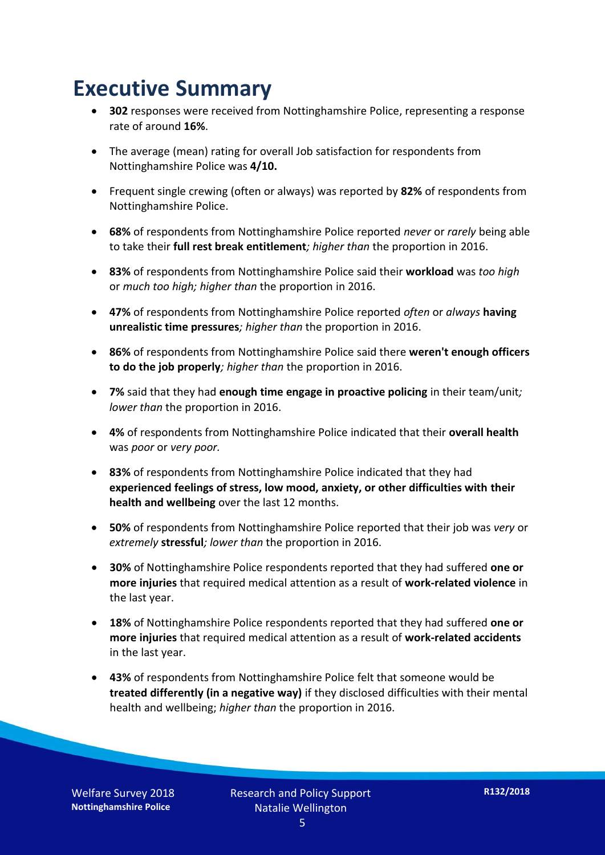### **Executive Summary**

- **302** responses were received from Nottinghamshire Police, representing a response rate of around **16%**.
- The average (mean) rating for overall Job satisfaction for respondents from Nottinghamshire Police was **4/10.**
- Frequent single crewing (often or always) was reported by **82%** of respondents from Nottinghamshire Police.
- **68%** of respondents from Nottinghamshire Police reported *never* or *rarely* being able to take their **full rest break entitlement***; higher than* the proportion in 2016.
- **83%** of respondents from Nottinghamshire Police said their **workload** was *too high* or *much too high; higher than* the proportion in 2016.
- **47%** of respondents from Nottinghamshire Police reported *often* or *always* **having unrealistic time pressures***; higher than* the proportion in 2016.
- **86%** of respondents from Nottinghamshire Police said there **weren't enough officers to do the job properly***; higher than* the proportion in 2016.
- **7%** said that they had **enough time engage in proactive policing** in their team/unit*; lower than* the proportion in 2016.
- **4%** of respondents from Nottinghamshire Police indicated that their **overall health** was *poor* or *very poor.*
- **83%** of respondents from Nottinghamshire Police indicated that they had **experienced feelings of stress, low mood, anxiety, or other difficulties with their health and wellbeing** over the last 12 months.
- **50%** of respondents from Nottinghamshire Police reported that their job was *very* or *extremely* **stressful***; lower than* the proportion in 2016.
- **30%** of Nottinghamshire Police respondents reported that they had suffered **one or more injuries** that required medical attention as a result of **work-related violence** in the last year.
- **18%** of Nottinghamshire Police respondents reported that they had suffered **one or more injuries** that required medical attention as a result of **work-related accidents**  in the last year.
- **43%** of respondents from Nottinghamshire Police felt that someone would be **treated differently (in a negative way)** if they disclosed difficulties with their mental health and wellbeing; *higher than* the proportion in 2016.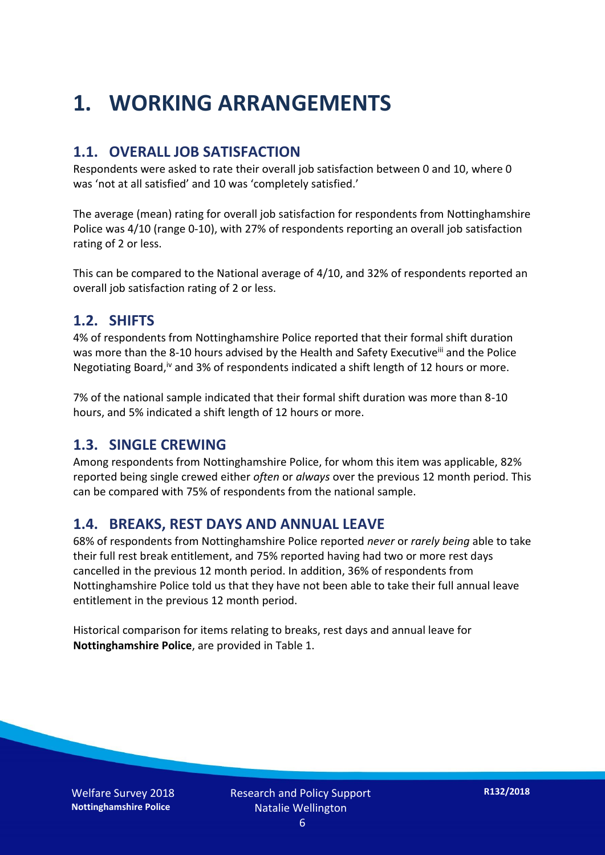## **1. WORKING ARRANGEMENTS**

#### **1.1. OVERALL JOB SATISFACTION**

Respondents were asked to rate their overall job satisfaction between 0 and 10, where 0 was 'not at all satisfied' and 10 was 'completely satisfied.'

The average (mean) rating for overall job satisfaction for respondents from Nottinghamshire Police was 4/10 (range 0-10), with 27% of respondents reporting an overall job satisfaction rating of 2 or less.

This can be compared to the National average of 4/10, and 32% of respondents reported an overall job satisfaction rating of 2 or less.

#### **1.2. SHIFTS**

4% of respondents from Nottinghamshire Police reported that their formal shift duration was more than the 8-10 hours advised by the Health and Safety Executive<sup>iii</sup> and the Police Negotiating Board,<sup>iv</sup> and 3% of respondents indicated a shift length of 12 hours or more.

7% of the national sample indicated that their formal shift duration was more than 8-10 hours, and 5% indicated a shift length of 12 hours or more.

#### **1.3. SINGLE CREWING**

Among respondents from Nottinghamshire Police, for whom this item was applicable, 82% reported being single crewed either *often* or *always* over the previous 12 month period. This can be compared with 75% of respondents from the national sample.

#### **1.4. BREAKS, REST DAYS AND ANNUAL LEAVE**

68% of respondents from Nottinghamshire Police reported *never* or *rarely being* able to take their full rest break entitlement, and 75% reported having had two or more rest days cancelled in the previous 12 month period. In addition, 36% of respondents from Nottinghamshire Police told us that they have not been able to take their full annual leave entitlement in the previous 12 month period.

Historical comparison for items relating to breaks, rest days and annual leave for **Nottinghamshire Police**, are provided in Table 1.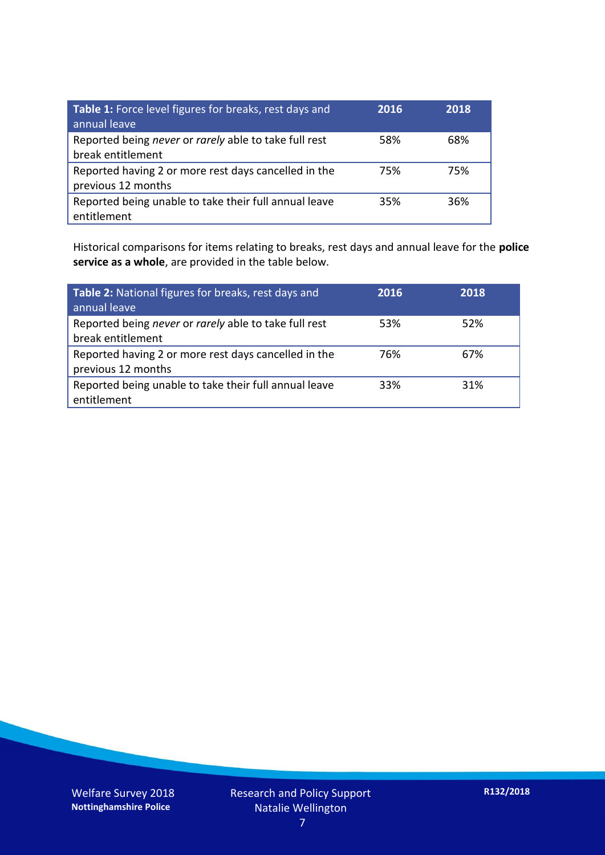| Table 1: Force level figures for breaks, rest days and<br>annual leave     | 2016 | 2018 |
|----------------------------------------------------------------------------|------|------|
| Reported being never or rarely able to take full rest<br>break entitlement | 58%  | 68%  |
| Reported having 2 or more rest days cancelled in the<br>previous 12 months | 75%  | 75%  |
| Reported being unable to take their full annual leave<br>entitlement       | 35%  | 36%  |

Historical comparisons for items relating to breaks, rest days and annual leave for the **police service as a whole**, are provided in the table below.

| Table 2: National figures for breaks, rest days and<br>annual leave        | 2016 | 2018 |
|----------------------------------------------------------------------------|------|------|
| Reported being never or rarely able to take full rest<br>break entitlement | 53%  | 52%  |
| Reported having 2 or more rest days cancelled in the<br>previous 12 months | 76%  | 67%  |
| Reported being unable to take their full annual leave<br>entitlement       | 33%  | 31%  |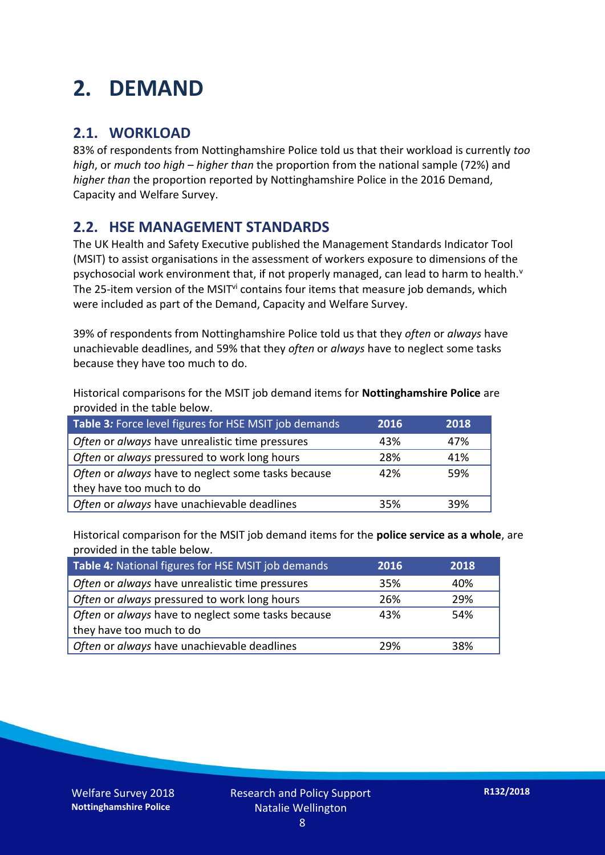### **2. DEMAND**

#### **2.1. WORKLOAD**

83% of respondents from Nottinghamshire Police told us that their workload is currently *too high*, or *much too high* – *higher than* the proportion from the national sample (72%) and *higher than* the proportion reported by Nottinghamshire Police in the 2016 Demand, Capacity and Welfare Survey.

#### **2.2. HSE MANAGEMENT STANDARDS**

The UK Health and Safety Executive published the Management Standards Indicator Tool (MSIT) to assist organisations in the assessment of workers exposure to dimensions of the psychosocial work environment that, if not properly managed, can lead to harm to health.<sup>v</sup> The 25-item version of the MSIT<sup>vi</sup> contains four items that measure job demands, which were included as part of the Demand, Capacity and Welfare Survey.

39% of respondents from Nottinghamshire Police told us that they *often* or *always* have unachievable deadlines, and 59% that they *often* or *always* have to neglect some tasks because they have too much to do.

Historical comparisons for the MSIT job demand items for **Nottinghamshire Police** are provided in the table below.

| Table 3: Force level figures for HSE MSIT job demands | 2016 | 2018 |
|-------------------------------------------------------|------|------|
| Often or always have unrealistic time pressures       | 43%  | 47%  |
| Often or always pressured to work long hours          | 28%  | 41%  |
| Often or always have to neglect some tasks because    | 42%  | 59%  |
| they have too much to do                              |      |      |
| Often or always have unachievable deadlines           | 35%  | 39%  |

Historical comparison for the MSIT job demand items for the **police service as a whole**, are provided in the table below.

| Table 4: National figures for HSE MSIT job demands | 2016 | 2018 |
|----------------------------------------------------|------|------|
| Often or always have unrealistic time pressures    | 35%  | 40%  |
| Often or always pressured to work long hours       | 26%  | 29%  |
| Often or always have to neglect some tasks because | 43%  | 54%  |
| they have too much to do                           |      |      |
| Often or always have unachievable deadlines        | 29%  | 38%  |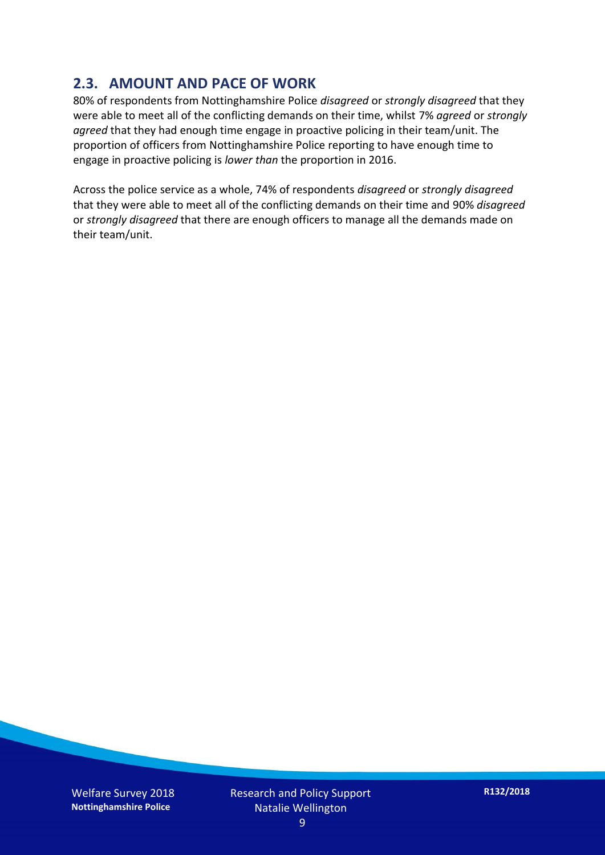#### **2.3. AMOUNT AND PACE OF WORK**

80% of respondents from Nottinghamshire Police *disagreed* or *strongly disagreed* that they were able to meet all of the conflicting demands on their time, whilst 7% *agreed* or *strongly agreed* that they had enough time engage in proactive policing in their team/unit. The proportion of officers from Nottinghamshire Police reporting to have enough time to engage in proactive policing is *lower than* the proportion in 2016.

Across the police service as a whole, 74% of respondents *disagreed* or *strongly disagreed* that they were able to meet all of the conflicting demands on their time and 90% *disagreed* or *strongly disagreed* that there are enough officers to manage all the demands made on their team/unit.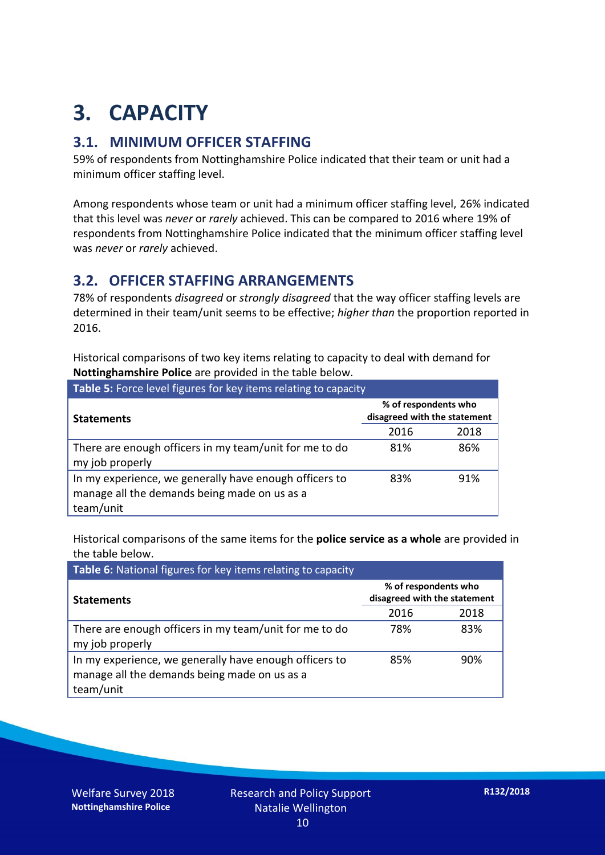## **3. CAPACITY**

#### **3.1. MINIMUM OFFICER STAFFING**

59% of respondents from Nottinghamshire Police indicated that their team or unit had a minimum officer staffing level.

Among respondents whose team or unit had a minimum officer staffing level, 26% indicated that this level was *never* or *rarely* achieved. This can be compared to 2016 where 19% of respondents from Nottinghamshire Police indicated that the minimum officer staffing level was *never* or *rarely* achieved.

#### **3.2. OFFICER STAFFING ARRANGEMENTS**

78% of respondents *disagreed* or *strongly disagreed* that the way officer staffing levels are determined in their team/unit seems to be effective; *higher than* the proportion reported in 2016.

Historical comparisons of two key items relating to capacity to deal with demand for **Nottinghamshire Police** are provided in the table below.

| Table 5: Force level figures for key items relating to capacity                                                     |                                                      |      |  |
|---------------------------------------------------------------------------------------------------------------------|------------------------------------------------------|------|--|
| <b>Statements</b>                                                                                                   | % of respondents who<br>disagreed with the statement |      |  |
|                                                                                                                     | 2016                                                 | 2018 |  |
| There are enough officers in my team/unit for me to do<br>my job properly                                           | 81%                                                  | 86%  |  |
| In my experience, we generally have enough officers to<br>manage all the demands being made on us as a<br>team/unit | 83%                                                  | 91%  |  |

Historical comparisons of the same items for the **police service as a whole** are provided in the table below.

| Table 6: National figures for key items relating to capacity                                                        |                                                      |      |  |  |
|---------------------------------------------------------------------------------------------------------------------|------------------------------------------------------|------|--|--|
| <b>Statements</b>                                                                                                   | % of respondents who<br>disagreed with the statement |      |  |  |
|                                                                                                                     | 2016                                                 | 2018 |  |  |
| There are enough officers in my team/unit for me to do<br>my job properly                                           | 78%                                                  | 83%  |  |  |
| In my experience, we generally have enough officers to<br>manage all the demands being made on us as a<br>team/unit | 85%                                                  | 90%  |  |  |

Welfare Survey 2018 **Nottinghamshire Police**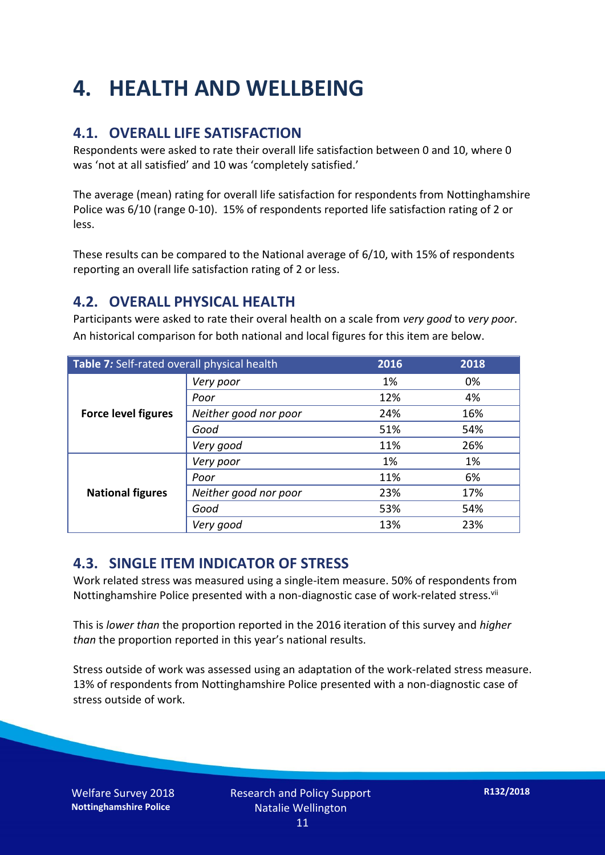## **4. HEALTH AND WELLBEING**

#### **4.1. OVERALL LIFE SATISFACTION**

Respondents were asked to rate their overall life satisfaction between 0 and 10, where 0 was 'not at all satisfied' and 10 was 'completely satisfied.'

The average (mean) rating for overall life satisfaction for respondents from Nottinghamshire Police was 6/10 (range 0-10). 15% of respondents reported life satisfaction rating of 2 or less.

These results can be compared to the National average of 6/10, with 15% of respondents reporting an overall life satisfaction rating of 2 or less.

#### **4.2. OVERALL PHYSICAL HEALTH**

Participants were asked to rate their overal health on a scale from *very good* to *very poor*. An historical comparison for both national and local figures for this item are below.

| Table 7: Self-rated overall physical health |                       | 2016 | 2018 |
|---------------------------------------------|-----------------------|------|------|
|                                             | Very poor             | 1%   | 0%   |
|                                             | Poor                  | 12%  | 4%   |
| <b>Force level figures</b>                  | Neither good nor poor | 24%  | 16%  |
|                                             | Good                  | 51%  | 54%  |
|                                             | Very good             | 11%  | 26%  |
| <b>National figures</b>                     | Very poor             | 1%   | 1%   |
|                                             | Poor                  | 11%  | 6%   |
|                                             | Neither good nor poor | 23%  | 17%  |
|                                             | Good                  | 53%  | 54%  |
|                                             | Very good             | 13%  | 23%  |

#### **4.3. SINGLE ITEM INDICATOR OF STRESS**

Work related stress was measured using a single-item measure. 50% of respondents from Nottinghamshire Police presented with a non-diagnostic case of work-related stress.<sup>vii</sup>

This is *lower than* the proportion reported in the 2016 iteration of this survey and *higher than* the proportion reported in this year's national results.

Stress outside of work was assessed using an adaptation of the work-related stress measure. 13% of respondents from Nottinghamshire Police presented with a non-diagnostic case of stress outside of work.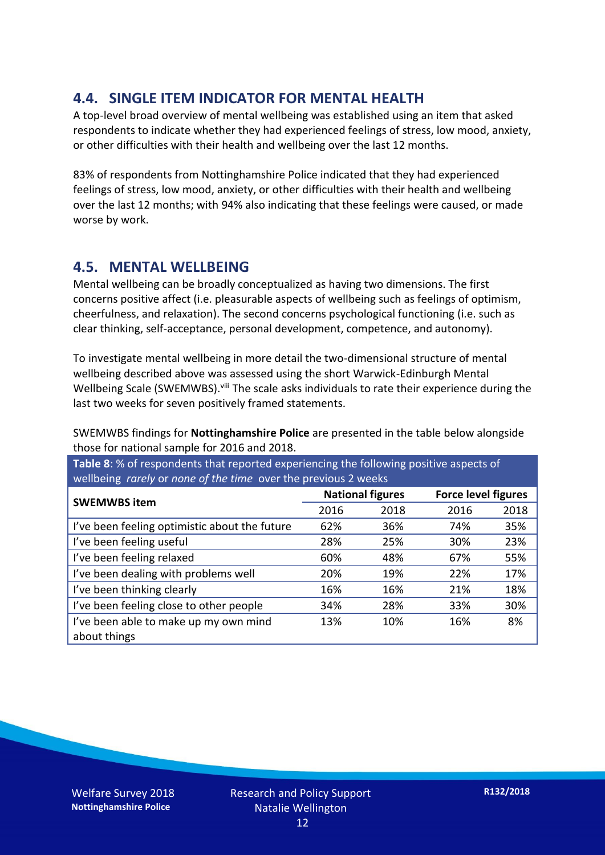#### **4.4. SINGLE ITEM INDICATOR FOR MENTAL HEALTH**

A top-level broad overview of mental wellbeing was established using an item that asked respondents to indicate whether they had experienced feelings of stress, low mood, anxiety, or other difficulties with their health and wellbeing over the last 12 months.

83% of respondents from Nottinghamshire Police indicated that they had experienced feelings of stress, low mood, anxiety, or other difficulties with their health and wellbeing over the last 12 months; with 94% also indicating that these feelings were caused, or made worse by work.

#### **4.5. MENTAL WELLBEING**

Mental wellbeing can be broadly conceptualized as having two dimensions. The first concerns positive affect (i.e. pleasurable aspects of wellbeing such as feelings of optimism, cheerfulness, and relaxation). The second concerns psychological functioning (i.e. such as clear thinking, self-acceptance, personal development, competence, and autonomy).

To investigate mental wellbeing in more detail the two-dimensional structure of mental wellbeing described above was assessed using the short Warwick-Edinburgh Mental Wellbeing Scale (SWEMWBS). viii The scale asks individuals to rate their experience during the last two weeks for seven positively framed statements.

SWEMWBS findings for **Nottinghamshire Police** are presented in the table below alongside those for national sample for 2016 and 2018.

**Table 8**: % of respondents that reported experiencing the following positive aspects of wellbeing *rarely* or *none of the time* over the previous 2 weeks

| <b>SWEMWBS item</b>                           | <b>National figures</b> |      | <b>Force level figures</b> |      |
|-----------------------------------------------|-------------------------|------|----------------------------|------|
|                                               | 2016                    | 2018 | 2016                       | 2018 |
| I've been feeling optimistic about the future | 62%                     | 36%  | 74%                        | 35%  |
| I've been feeling useful                      | 28%                     | 25%  | 30%                        | 23%  |
| I've been feeling relaxed                     | 60%                     | 48%  | 67%                        | 55%  |
| I've been dealing with problems well          | 20%                     | 19%  | 22%                        | 17%  |
| I've been thinking clearly                    | 16%                     | 16%  | 21%                        | 18%  |
| I've been feeling close to other people       | 34%                     | 28%  | 33%                        | 30%  |
| I've been able to make up my own mind         | 13%                     | 10%  | 16%                        | 8%   |
| about things                                  |                         |      |                            |      |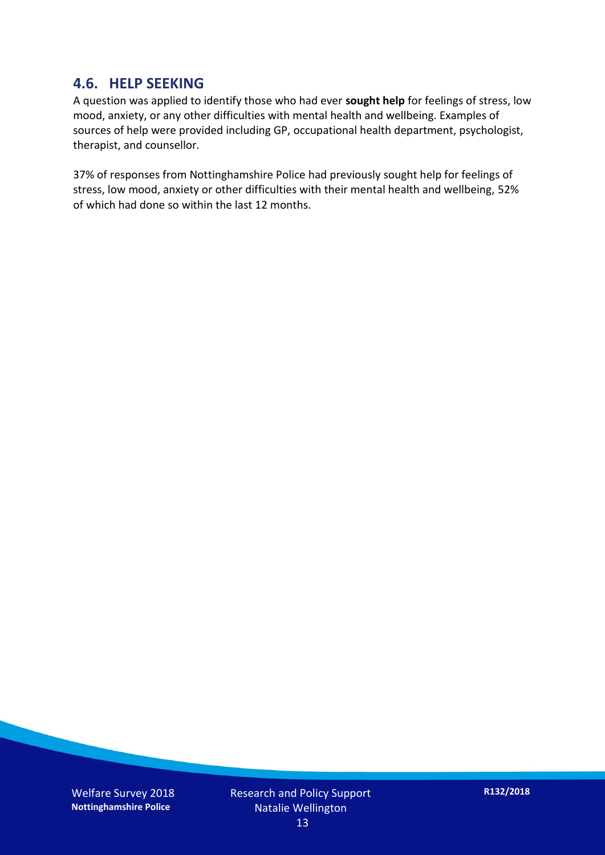#### **4.6. HELP SEEKING**

A question was applied to identify those who had ever **sought help** for feelings of stress, low mood, anxiety, or any other difficulties with mental health and wellbeing. Examples of sources of help were provided including GP, occupational health department, psychologist, therapist, and counsellor.

37% of responses from Nottinghamshire Police had previously sought help for feelings of stress, low mood, anxiety or other difficulties with their mental health and wellbeing, 52% of which had done so within the last 12 months.

Welfare Survey 2018 **Nottinghamshire Police**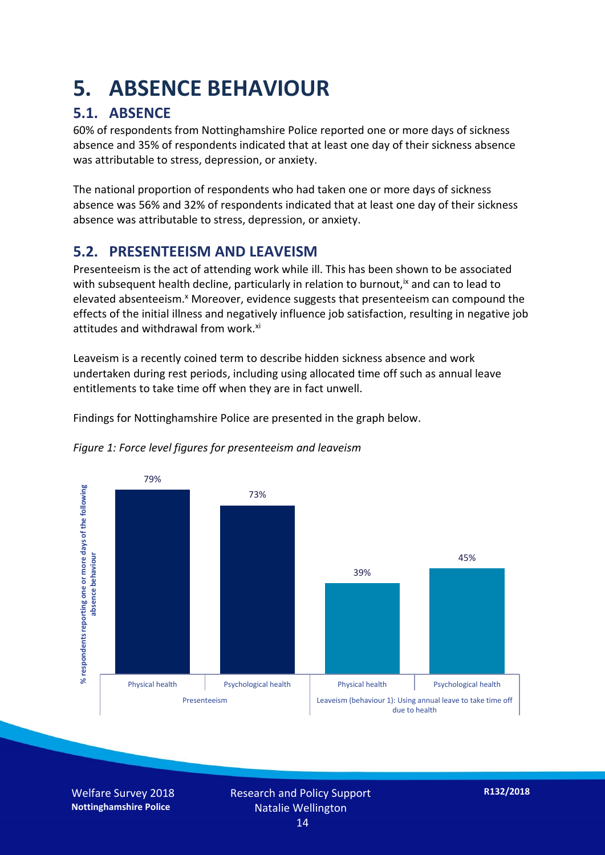### **5. ABSENCE BEHAVIOUR**

#### **5.1. ABSENCE**

60% of respondents from Nottinghamshire Police reported one or more days of sickness absence and 35% of respondents indicated that at least one day of their sickness absence was attributable to stress, depression, or anxiety.

The national proportion of respondents who had taken one or more days of sickness absence was 56% and 32% of respondents indicated that at least one day of their sickness absence was attributable to stress, depression, or anxiety.

#### **5.2. PRESENTEEISM AND LEAVEISM**

Presenteeism is the act of attending work while ill. This has been shown to be associated with subsequent health decline, particularly in relation to burnout,  $\alpha$  and can to lead to elevated absenteeism.<sup>x</sup> Moreover, evidence suggests that presenteeism can compound the effects of the initial illness and negatively influence job satisfaction, resulting in negative job attitudes and withdrawal from work.<sup>xi</sup>

Leaveism is a recently coined term to describe hidden sickness absence and work undertaken during rest periods, including using allocated time off such as annual leave entitlements to take time off when they are in fact unwell.

Findings for Nottinghamshire Police are presented in the graph below.





Welfare Survey 2018 **Nottinghamshire Police**

Research and Policy Support Natalie Wellington 14

**R132/2018**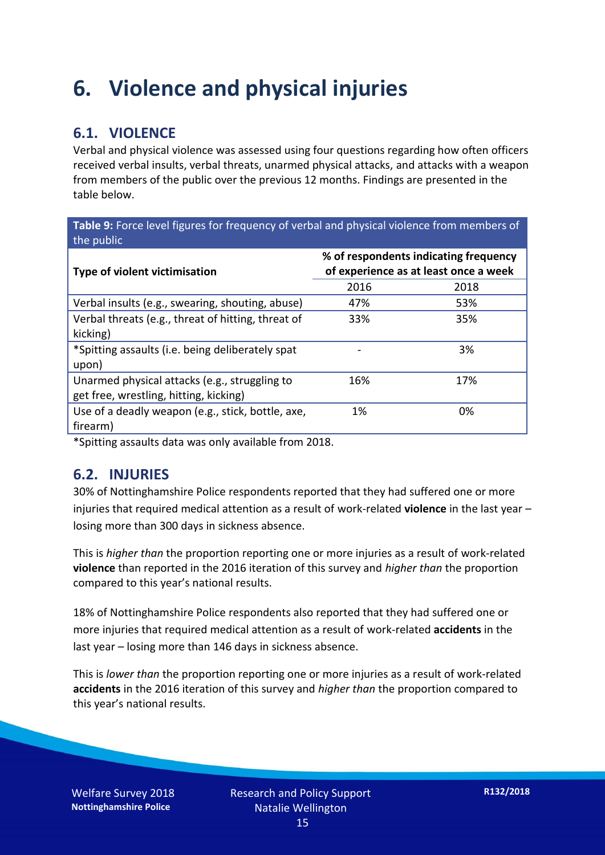### **6. Violence and physical injuries**

#### **6.1. VIOLENCE**

Verbal and physical violence was assessed using four questions regarding how often officers received verbal insults, verbal threats, unarmed physical attacks, and attacks with a weapon from members of the public over the previous 12 months. Findings are presented in the table below.

**Table 9:** Force level figures for frequency of verbal and physical violence from members of the public

| Type of violent victimisation                      | % of respondents indicating frequency<br>of experience as at least once a week |      |  |
|----------------------------------------------------|--------------------------------------------------------------------------------|------|--|
|                                                    | 2016                                                                           | 2018 |  |
| Verbal insults (e.g., swearing, shouting, abuse)   | 47%                                                                            | 53%  |  |
| Verbal threats (e.g., threat of hitting, threat of | 33%                                                                            | 35%  |  |
| kicking)                                           |                                                                                |      |  |
| *Spitting assaults (i.e. being deliberately spat   |                                                                                | 3%   |  |
| upon)                                              |                                                                                |      |  |
| Unarmed physical attacks (e.g., struggling to      | 16%                                                                            | 17%  |  |
| get free, wrestling, hitting, kicking)             |                                                                                |      |  |
| Use of a deadly weapon (e.g., stick, bottle, axe,  | 1%                                                                             | 0%   |  |
| firearm)                                           |                                                                                |      |  |

\*Spitting assaults data was only available from 2018.

#### **6.2. INJURIES**

30% of Nottinghamshire Police respondents reported that they had suffered one or more injuries that required medical attention as a result of work-related **violence** in the last year – losing more than 300 days in sickness absence.

This is *higher than* the proportion reporting one or more injuries as a result of work-related **violence** than reported in the 2016 iteration of this survey and *higher than* the proportion compared to this year's national results.

18% of Nottinghamshire Police respondents also reported that they had suffered one or more injuries that required medical attention as a result of work-related **accidents** in the last year – losing more than 146 days in sickness absence.

This is *lower than* the proportion reporting one or more injuries as a result of work-related **accidents** in the 2016 iteration of this survey and *higher than* the proportion compared to this year's national results.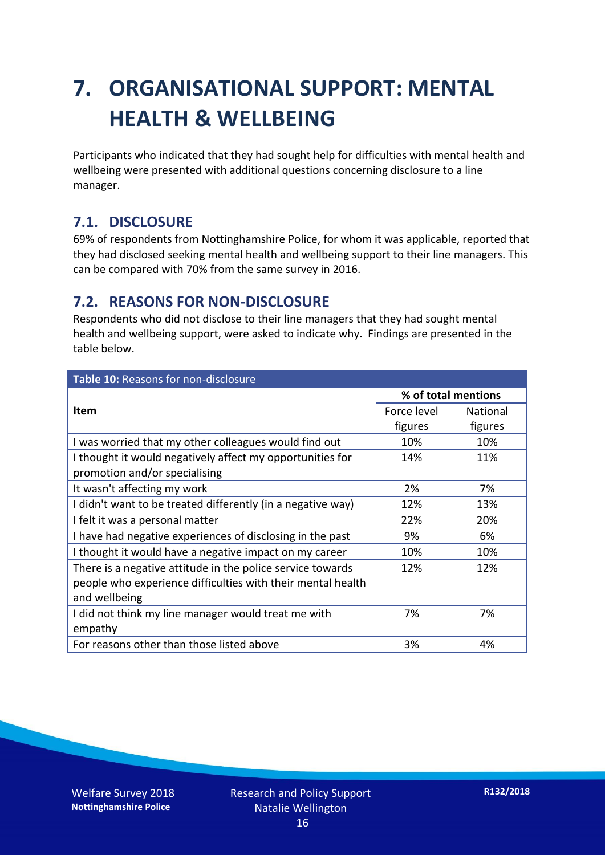## **7. ORGANISATIONAL SUPPORT: MENTAL HEALTH & WELLBEING**

Participants who indicated that they had sought help for difficulties with mental health and wellbeing were presented with additional questions concerning disclosure to a line manager.

#### **7.1. DISCLOSURE**

69% of respondents from Nottinghamshire Police, for whom it was applicable, reported that they had disclosed seeking mental health and wellbeing support to their line managers. This can be compared with 70% from the same survey in 2016.

#### **7.2. REASONS FOR NON-DISCLOSURE**

Respondents who did not disclose to their line managers that they had sought mental health and wellbeing support, were asked to indicate why. Findings are presented in the table below.

| Table 10: Reasons for non-disclosure                        |             |                     |  |
|-------------------------------------------------------------|-------------|---------------------|--|
|                                                             |             | % of total mentions |  |
| <b>Item</b>                                                 | Force level | <b>National</b>     |  |
|                                                             | figures     | figures             |  |
| I was worried that my other colleagues would find out       | 10%         | 10%                 |  |
| I thought it would negatively affect my opportunities for   | 14%         | 11%                 |  |
| promotion and/or specialising                               |             |                     |  |
| It wasn't affecting my work                                 | 2%          | 7%                  |  |
| I didn't want to be treated differently (in a negative way) | 12%         | 13%                 |  |
| I felt it was a personal matter                             | 22%         | 20%                 |  |
| I have had negative experiences of disclosing in the past   | 9%          | 6%                  |  |
| I thought it would have a negative impact on my career      | 10%         | 10%                 |  |
| There is a negative attitude in the police service towards  | 12%         | 12%                 |  |
| people who experience difficulties with their mental health |             |                     |  |
| and wellbeing                                               |             |                     |  |
| I did not think my line manager would treat me with         | 7%          | 7%                  |  |
| empathy                                                     |             |                     |  |
| For reasons other than those listed above                   | 3%          | 4%                  |  |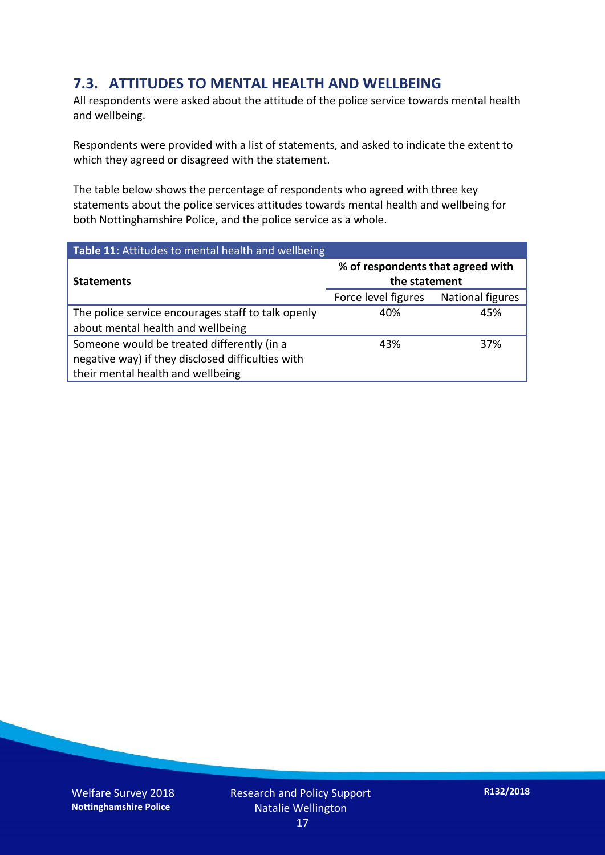#### **7.3. ATTITUDES TO MENTAL HEALTH AND WELLBEING**

All respondents were asked about the attitude of the police service towards mental health and wellbeing.

Respondents were provided with a list of statements, and asked to indicate the extent to which they agreed or disagreed with the statement.

The table below shows the percentage of respondents who agreed with three key statements about the police services attitudes towards mental health and wellbeing for both Nottinghamshire Police, and the police service as a whole.

| Table 11: Attitudes to mental health and wellbeing |                                                    |                         |  |
|----------------------------------------------------|----------------------------------------------------|-------------------------|--|
| <b>Statements</b>                                  | % of respondents that agreed with<br>the statement |                         |  |
|                                                    | Force level figures                                | <b>National figures</b> |  |
| The police service encourages staff to talk openly | 40%                                                | 45%                     |  |
| about mental health and wellbeing                  |                                                    |                         |  |
| Someone would be treated differently (in a         | 43%                                                | 37%                     |  |
| negative way) if they disclosed difficulties with  |                                                    |                         |  |
| their mental health and wellbeing                  |                                                    |                         |  |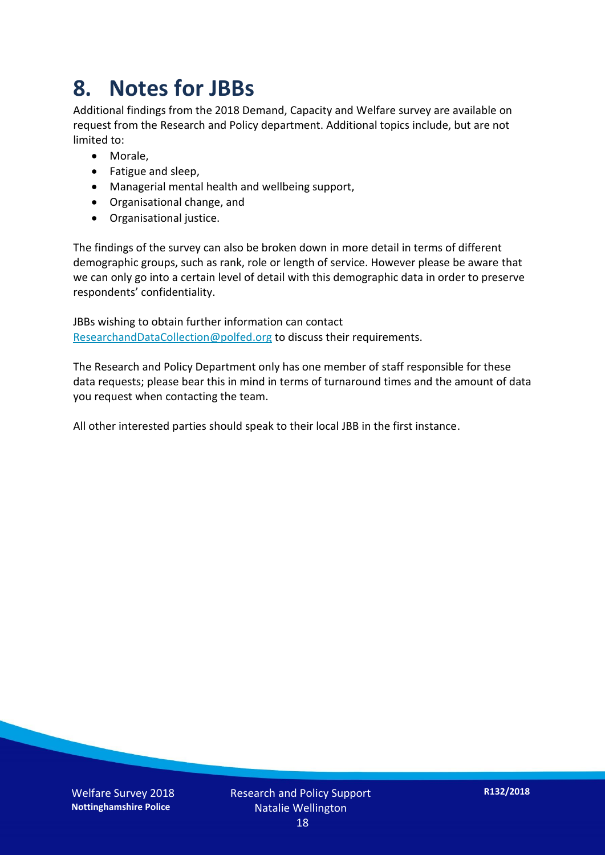### **8. Notes for JBBs**

Additional findings from the 2018 Demand, Capacity and Welfare survey are available on request from the Research and Policy department. Additional topics include, but are not limited to:

- Morale,
- Fatigue and sleep,
- Managerial mental health and wellbeing support,
- Organisational change, and
- Organisational justice.

The findings of the survey can also be broken down in more detail in terms of different demographic groups, such as rank, role or length of service. However please be aware that we can only go into a certain level of detail with this demographic data in order to preserve respondents' confidentiality.

JBBs wishing to obtain further information can contact [ResearchandDataCollection@polfed.org](mailto:ResearchandDataCollection@polfed.org) to discuss their requirements.

The Research and Policy Department only has one member of staff responsible for these data requests; please bear this in mind in terms of turnaround times and the amount of data you request when contacting the team.

All other interested parties should speak to their local JBB in the first instance.